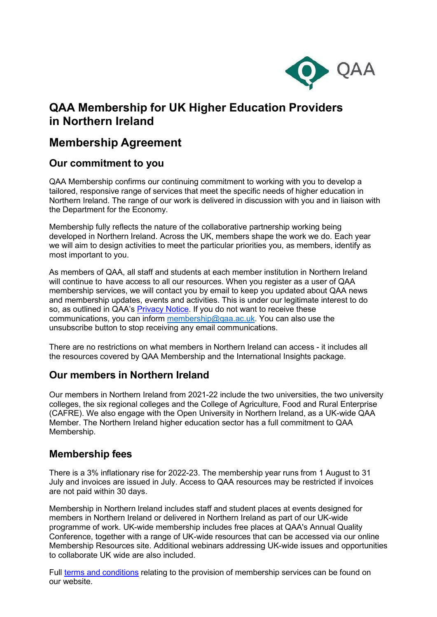

# **QAA Membership for UK Higher Education Providers in Northern Ireland**

## **Membership Agreement**

## **Our commitment to you**

QAA Membership confirms our continuing commitment to working with you to develop a tailored, responsive range of services that meet the specific needs of higher education in Northern Ireland. The range of our work is delivered in discussion with you and in liaison with the Department for the Economy.

Membership fully reflects the nature of the collaborative partnership working being developed in Northern Ireland. Across the UK, members shape the work we do. Each year we will aim to design activities to meet the particular priorities you, as members, identify as most important to you.

As members of QAA, all staff and students at each member institution in Northern Ireland will continue to have access to all our resources. When you register as a user of QAA membership services, we will contact you by email to keep you updated about QAA news and membership updates, events and activities. This is under our legitimate interest to do so, as outlined in QAA's [Privacy Notice.](https://www.qaa.ac.uk/privacy-and-cookies) If you do not want to receive these communications, you can inform [membership@qaa.ac.uk.](mailto:membership@qaa.ac.uk) You can also use the unsubscribe button to stop receiving any email communications.

There are no restrictions on what members in Northern Ireland can access - it includes all the resources covered by QAA Membership and the International Insights package.

## **Our members in Northern Ireland**

Our members in Northern Ireland from 2021-22 include the two universities, the two university colleges, the six regional colleges and the College of Agriculture, Food and Rural Enterprise (CAFRE). We also engage with the Open University in Northern Ireland, as a UK-wide QAA Member. The Northern Ireland higher education sector has a full commitment to QAA Membership.

### **Membership fees**

There is a 3% inflationary rise for 2022-23. The membership year runs from 1 August to 31 July and invoices are issued in July. Access to QAA resources may be restricted if invoices are not paid within 30 days.

Membership in Northern Ireland includes staff and student places at events designed for members in Northern Ireland or delivered in Northern Ireland as part of our UK-wide programme of work. UK-wide membership includes free places at QAA's Annual Quality Conference, together with a range of UK-wide resources that can be accessed via our online Membership Resources site. Additional webinars addressing UK-wide issues and opportunities to collaborate UK wide are also included.

Full terms and [conditions](https://www.qaa.ac.uk/membership/become-a-member) relating to the provision of membership services can be found on our website.